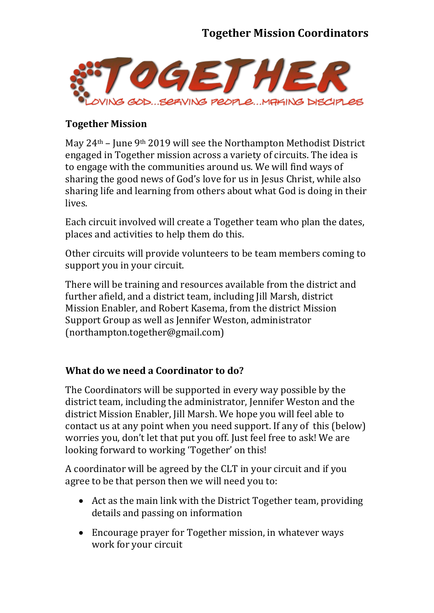## **Together Mission Coordinators**



### **Together Mission**

May 24th – June 9th 2019 will see the Northampton Methodist District engaged in Together mission across a variety of circuits. The idea is to engage with the communities around us. We will find ways of sharing the good news of God's love for us in Jesus Christ, while also sharing life and learning from others about what God is doing in their lives.

Each circuit involved will create a Together team who plan the dates, places and activities to help them do this.

Other circuits will provide volunteers to be team members coming to support you in your circuit.

There will be training and resources available from the district and further afield, and a district team, including Jill Marsh, district Mission Enabler, and Robert Kasema, from the district Mission Support Group as well as Jennifer Weston, administrator (northampton.together@gmail.com)

### **What do we need a Coordinator to do?**

The Coordinators will be supported in every way possible by the district team, including the administrator, Jennifer Weston and the district Mission Enabler, Jill Marsh. We hope you will feel able to contact us at any point when you need support. If any of this (below) worries you, don't let that put you off. Just feel free to ask! We are looking forward to working 'Together' on this!

A coordinator will be agreed by the CLT in your circuit and if you agree to be that person then we will need you to:

- Act as the main link with the District Together team, providing details and passing on information
- Encourage prayer for Together mission, in whatever ways work for your circuit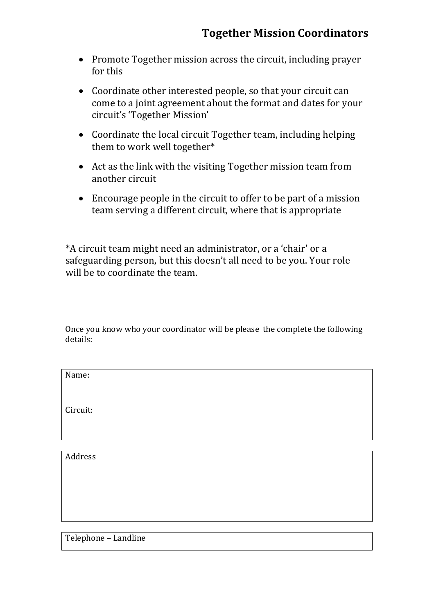- Promote Together mission across the circuit, including prayer for this
- Coordinate other interested people, so that your circuit can come to a joint agreement about the format and dates for your circuit's 'Together Mission'
- Coordinate the local circuit Together team, including helping them to work well together\*
- Act as the link with the visiting Together mission team from another circuit
- Encourage people in the circuit to offer to be part of a mission team serving a different circuit, where that is appropriate

\*A circuit team might need an administrator, or a 'chair' or a safeguarding person, but this doesn't all need to be you. Your role will be to coordinate the team.

Once you know who your coordinator will be please the complete the following details:

Circuit:

Address

Telephone – Landline